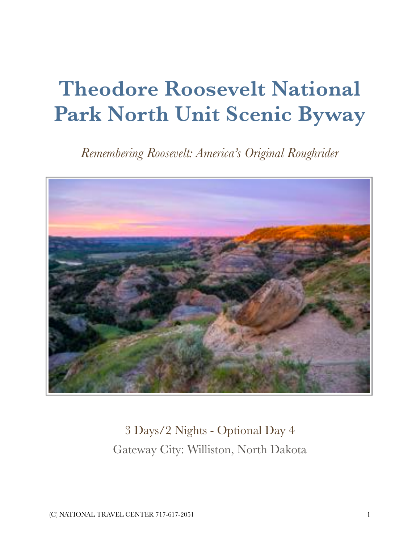# **Theodore Roosevelt National Park North Unit Scenic Byway**

*Remembering Roosevelt: America's Original Roughrider*



3 Days/2 Nights - Optional Day 4 Gateway City: Williston, North Dakota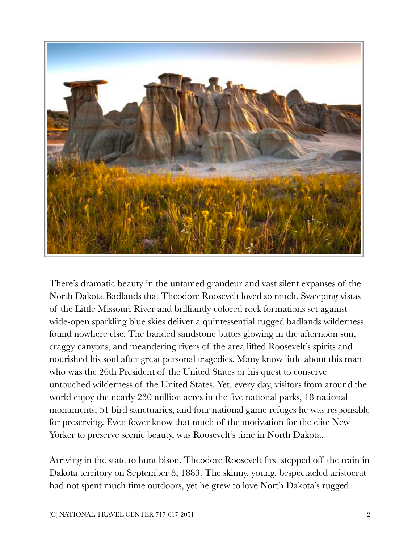

There's dramatic beauty in the untamed grandeur and vast silent expanses of the North Dakota Badlands that Theodore Roosevelt loved so much. Sweeping vistas of the Little Missouri River and brilliantly colored rock formations set against wide-open sparkling blue skies deliver a quintessential rugged badlands wilderness found nowhere else. The banded sandstone buttes glowing in the afternoon sun, craggy canyons, and meandering rivers of the area lifted Roosevelt's spirits and nourished his soul after great personal tragedies. Many know little about this man who was the 26th President of the United States or his quest to conserve untouched wilderness of the United States. Yet, every day, visitors from around the world enjoy the nearly 230 million acres in the five national parks, 18 national monuments, 51 bird sanctuaries, and four national game refuges he was responsible for preserving. Even fewer know that much of the motivation for the elite New Yorker to preserve scenic beauty, was Roosevelt's time in North Dakota.

Arriving in the state to hunt bison, Theodore Roosevelt first stepped off the train in Dakota territory on September 8, 1883. The skinny, young, bespectacled aristocrat had not spent much time outdoors, yet he grew to love North Dakota's rugged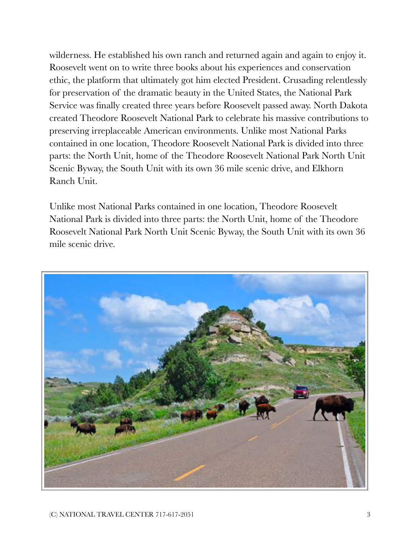wilderness. He established his own ranch and returned again and again to enjoy it. Roosevelt went on to write three books about his experiences and conservation ethic, the platform that ultimately got him elected President. Crusading relentlessly for preservation of the dramatic beauty in the United States, the National Park Service was finally created three years before Roosevelt passed away. North Dakota created Theodore Roosevelt National Park to celebrate his massive contributions to preserving irreplaceable American environments. Unlike most National Parks contained in one location, Theodore Roosevelt National Park is divided into three parts: the North Unit, home of the Theodore Roosevelt National Park North Unit Scenic Byway, the South Unit with its own 36 mile scenic drive, and Elkhorn Ranch Unit.

Unlike most National Parks contained in one location, Theodore Roosevelt National Park is divided into three parts: the North Unit, home of the Theodore Roosevelt National Park North Unit Scenic Byway, the South Unit with its own 36 mile scenic drive.

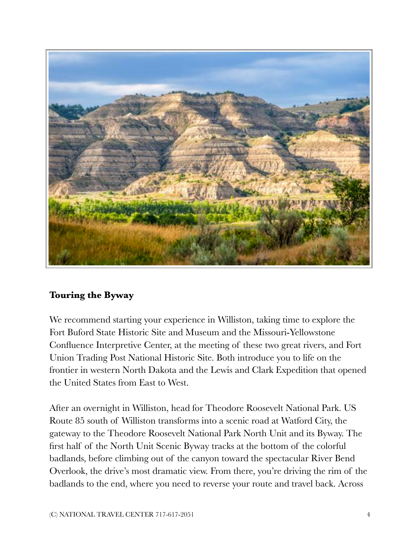

## **Touring the Byway**

We recommend starting your experience in Williston, taking time to explore the Fort Buford State Historic Site and Museum and the Missouri-Yellowstone Confluence Interpretive Center, at the meeting of these two great rivers, and Fort Union Trading Post National Historic Site. Both introduce you to life on the frontier in western North Dakota and the Lewis and Clark Expedition that opened the United States from East to West.

After an overnight in Williston, head for Theodore Roosevelt National Park. US Route 85 south of Williston transforms into a scenic road at Watford City, the gateway to the Theodore Roosevelt National Park North Unit and its Byway. The first half of the North Unit Scenic Byway tracks at the bottom of the colorful badlands, before climbing out of the canyon toward the spectacular River Bend Overlook, the drive's most dramatic view. From there, you're driving the rim of the badlands to the end, where you need to reverse your route and travel back. Across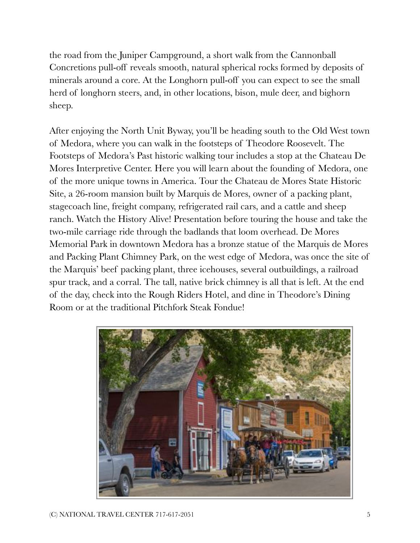the road from the Juniper Campground, a short walk from the Cannonball Concretions pull-off reveals smooth, natural spherical rocks formed by deposits of minerals around a core. At the Longhorn pull-off you can expect to see the small herd of longhorn steers, and, in other locations, bison, mule deer, and bighorn sheep.

After enjoying the North Unit Byway, you'll be heading south to the Old West town of Medora, where you can walk in the footsteps of Theodore Roosevelt. The Footsteps of Medora's Past historic walking tour includes a stop at the Chateau De Mores Interpretive Center. Here you will learn about the founding of Medora, one of the more unique towns in America. Tour the Chateau de Mores State Historic Site, a 26-room mansion built by Marquis de Mores, owner of a packing plant, stagecoach line, freight company, refrigerated rail cars, and a cattle and sheep ranch. Watch the History Alive! Presentation before touring the house and take the two-mile carriage ride through the badlands that loom overhead. De Mores Memorial Park in downtown Medora has a bronze statue of the Marquis de Mores and Packing Plant Chimney Park, on the west edge of Medora, was once the site of the Marquis' beef packing plant, three icehouses, several outbuildings, a railroad spur track, and a corral. The tall, native brick chimney is all that is left. At the end of the day, check into the Rough Riders Hotel, and dine in Theodore's Dining Room or at the traditional Pitchfork Steak Fondue!

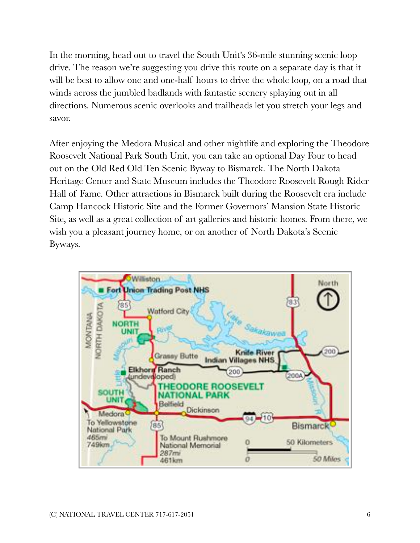In the morning, head out to travel the South Unit's 36-mile stunning scenic loop drive. The reason we're suggesting you drive this route on a separate day is that it will be best to allow one and one-half hours to drive the whole loop, on a road that winds across the jumbled badlands with fantastic scenery splaying out in all directions. Numerous scenic overlooks and trailheads let you stretch your legs and savor.

After enjoying the Medora Musical and other nightlife and exploring the Theodore Roosevelt National Park South Unit, you can take an optional Day Four to head out on the Old Red Old Ten Scenic Byway to Bismarck. The North Dakota Heritage Center and State Museum includes the Theodore Roosevelt Rough Rider Hall of Fame. Other attractions in Bismarck built during the Roosevelt era include Camp Hancock Historic Site and the Former Governors' Mansion State Historic Site, as well as a great collection of art galleries and historic homes. From there, we wish you a pleasant journey home, or on another of North Dakota's Scenic Byways.

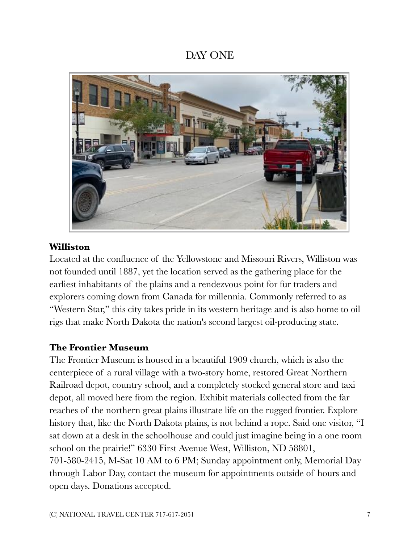# DAY ONE



## **Williston**

Located at the confluence of the Yellowstone and Missouri Rivers, Williston was not founded until 1887, yet the location served as the gathering place for the earliest inhabitants of the plains and a rendezvous point for fur traders and explorers coming down from Canada for millennia. Commonly referred to as "Western Star," this city takes pride in its western heritage and is also home to oil rigs that make North Dakota the nation's second largest oil-producing state.

## **The Frontier Museum**

The Frontier Museum is housed in a beautiful 1909 church, which is also the centerpiece of a rural village with a two-story home, restored Great Northern Railroad depot, country school, and a completely stocked general store and taxi depot, all moved here from the region. Exhibit materials collected from the far reaches of the northern great plains illustrate life on the rugged frontier. Explore history that, like the North Dakota plains, is not behind a rope. Said one visitor, "I sat down at a desk in the schoolhouse and could just imagine being in a one room school on the prairie!" 6330 First Avenue West, Williston, ND 58801, 701-580-2415, M-Sat 10 AM to 6 PM; Sunday appointment only, Memorial Day through Labor Day, contact the museum for appointments outside of hours and open days. Donations accepted.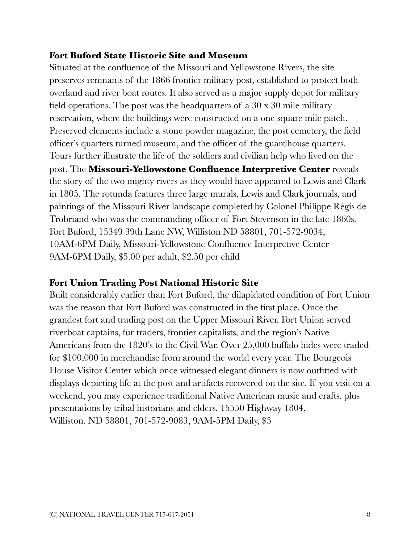## **Fort Buford State Historic Site and Museum**

Situated at the confluence of the Missouri and Yellowstone Rivers, the site preserves remnants of the 1866 frontier military post, established to protect both overland and river boat routes. It also served as a major supply depot for military field operations. The post was the headquarters of a 30 x 30 mile military reservation, where the buildings were constructed on a one square mile patch. Preserved elements include a stone powder magazine, the post cemetery, the field officer's quarters turned museum, and the officer of the guardhouse quarters. Tours further illustrate the life of the soldiers and civilian help who lived on the post. The **Missouri-Yellowstone Confluence Interpretive Center** reveals the story of the two mighty rivers as they would have appeared to Lewis and Clark in 1805. The rotunda features three large murals, Lewis and Clark journals, and paintings of the Missouri River landscape completed by Colonel Philippe Régis de Trobriand who was the commanding officer of Fort Stevenson in the late 1860s. Fort Buford, 15349 39th Lane NW, Williston ND 58801, 701-572-9034, 10AM-6PM Daily, Missouri-Yellowstone Confluence Interpretive Center 9AM-6PM Daily, \$5.00 per adult, \$2.50 per child

## **Fort Union Trading Post National Historic Site**

Built considerably earlier than Fort Buford, the dilapidated condition of Fort Union was the reason that Fort Buford was constructed in the first place. Once the grandest fort and trading post on the Upper Missouri River, Fort Union served riverboat captains, fur traders, frontier capitalists, and the region's Native Americans from the 1820's to the Civil War. Over 25,000 buffalo hides were traded for \$100,000 in merchandise from around the world every year. The Bourgeois House Visitor Center which once witnessed elegant dinners is now outfitted with displays depicting life at the post and artifacts recovered on the site. If you visit on a weekend, you may experience traditional Native American music and crafts, plus presentations by tribal historians and elders. 15550 Highway 1804, Williston, ND 58801, 701-572-9083, 9AM-5PM Daily, \$5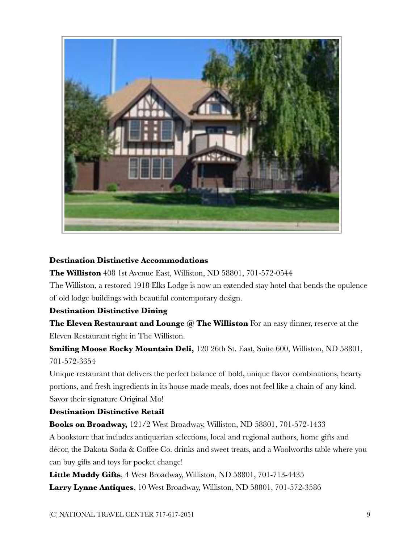

#### **Destination Distinctive Accommodations**

**The Williston** 408 1st Avenue East, Williston, ND 58801, 701-572-0544

The Williston, a restored 1918 Elks Lodge is now an extended stay hotel that bends the opulence of old lodge buildings with beautiful contemporary design.

#### **Destination Distinctive Dining**

**The Eleven Restaurant and Lounge @ The Williston** For an easy dinner, reserve at the Eleven Restaurant right in The Williston.

**Smiling Moose Rocky Mountain Deli,** 120 26th St. East, Suite 600, Williston, ND 58801, 701-572-3354

Unique restaurant that delivers the perfect balance of bold, unique flavor combinations, hearty portions, and fresh ingredients in its house made meals, does not feel like a chain of any kind. Savor their signature Original Mo!

#### **Destination Distinctive Retail**

**Books on Broadway,** 121/2 West Broadway, Williston, ND 58801, 701-572-1433

A bookstore that includes antiquarian selections, local and regional authors, home gifts and décor, the Dakota Soda & Coffee Co. drinks and sweet treats, and a Woolworths table where you can buy gifts and toys for pocket change!

**Little Muddy Gifts**, 4 West Broadway, Williston, ND 58801, 701-713-4435 **Larry Lynne Antiques**, 10 West Broadway, Williston, ND 58801, 701-572-3586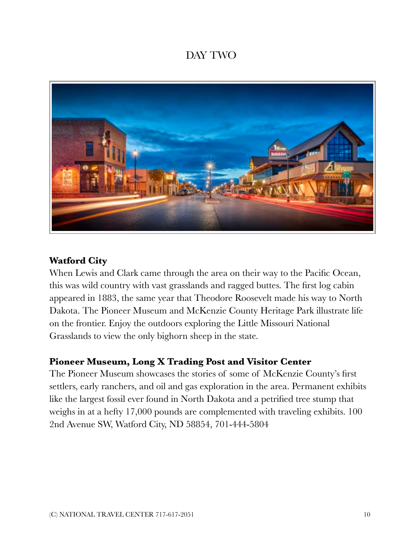# DAY TWO



## **Watford City**

When Lewis and Clark came through the area on their way to the Pacific Ocean, this was wild country with vast grasslands and ragged buttes. The first log cabin appeared in 1883, the same year that Theodore Roosevelt made his way to North Dakota. The Pioneer Museum and McKenzie County Heritage Park illustrate life on the frontier. Enjoy the outdoors exploring the Little Missouri National Grasslands to view the only bighorn sheep in the state.

## **Pioneer Museum, Long X Trading Post and Visitor Center**

The Pioneer Museum showcases the stories of some of McKenzie County's first settlers, early ranchers, and oil and gas exploration in the area. Permanent exhibits like the largest fossil ever found in North Dakota and a petrified tree stump that weighs in at a hefty 17,000 pounds are complemented with traveling exhibits. 100 2nd Avenue SW, Watford City, ND 58854, 701-444-5804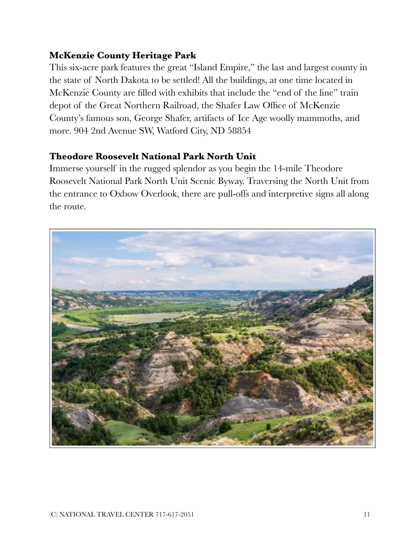## **McKenzie County Heritage Park**

This six-acre park features the great "Island Empire," the last and largest county in the state of North Dakota to be settled! All the buildings, at one time located in McKenzie County are filled with exhibits that include the "end of the line" train depot of the Great Northern Railroad, the Shafer Law Office of McKenzie County's famous son, George Shafer, artifacts of Ice Age woolly mammoths, and more. 904 2nd Avenue SW, Watford City, ND 58854

## **Theodore Roosevelt National Park North Unit**

Immerse yourself in the rugged splendor as you begin the 14-mile Theodore Roosevelt National Park North Unit Scenic Byway. Traversing the North Unit from the entrance to Oxbow Overlook, there are pull-offs and interpretive signs all along the route.

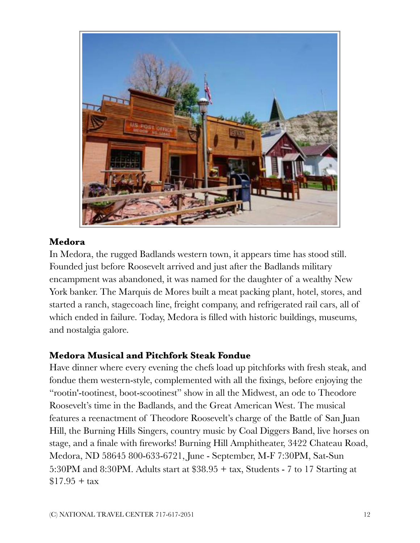

## **Medora**

In Medora, the rugged Badlands western town, it appears time has stood still. Founded just before Roosevelt arrived and just after the Badlands military encampment was abandoned, it was named for the daughter of a wealthy New York banker. The Marquis de Mores built a meat packing plant, hotel, stores, and started a ranch, stagecoach line, freight company, and refrigerated rail cars, all of which ended in failure. Today, Medora is filled with historic buildings, museums, and nostalgia galore.

## **Medora Musical and Pitchfork Steak Fondue**

Have dinner where every evening the chefs load up pitchforks with fresh steak, and fondue them western-style, complemented with all the fixings, before enjoying the "rootin'-tootinest, boot-scootinest" show in all the Midwest, an ode to Theodore Roosevelt's time in the Badlands, and the Great American West. The musical features a reenactment of Theodore Roosevelt's charge of the Battle of San Juan Hill, the Burning Hills Singers, country music by Coal Diggers Band, live horses on stage, and a finale with fireworks! Burning Hill Amphitheater, 3422 Chateau Road, Medora, ND 58645 800-633-6721, June - September, M-F 7:30PM, Sat-Sun 5:30PM and 8:30PM. Adults start at \$38.95 + tax, Students - 7 to 17 Starting at \$17.95 *+* tax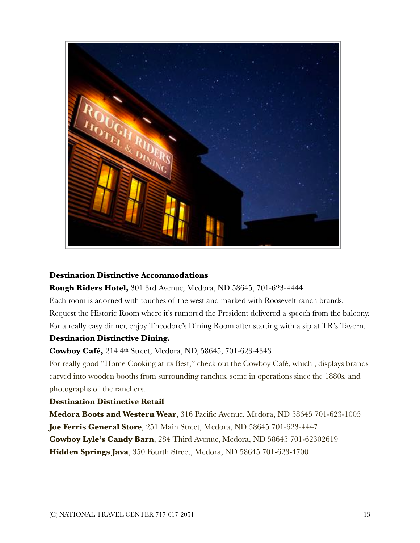

#### **Destination Distinctive Accommodations**

#### **Rough Riders Hotel,** 301 3rd Avenue, Medora, ND 58645, 701-623-4444

Each room is adorned with touches of the west and marked with Roosevelt ranch brands. Request the Historic Room where it's rumored the President delivered a speech from the balcony. For a really easy dinner, enjoy Theodore's Dining Room after starting with a sip at TR's Tavern.

#### **Destination Distinctive Dining.**

**Cowboy Café,** 214 4th Street, Medora, ND, 58645, 701-623-4343

For really good "Home Cooking at its Best," check out the Cowboy Café, which , displays brands carved into wooden booths from surrounding ranches, some in operations since the 1880s, and photographs of the ranchers.

#### **Destination Distinctive Retail**

**Medora Boots and Western Wear**, 316 Pacific Avenue, Medora, ND 58645 701-623-1005 **Joe Ferris General Store**, 251 Main Street, Medora, ND 58645 701-623-4447 **Cowboy Lyle's Candy Barn**, 284 Third Avenue, Medora, ND 58645 701-62302619 **Hidden Springs Java**, 350 Fourth Street, Medora, ND 58645 701-623-4700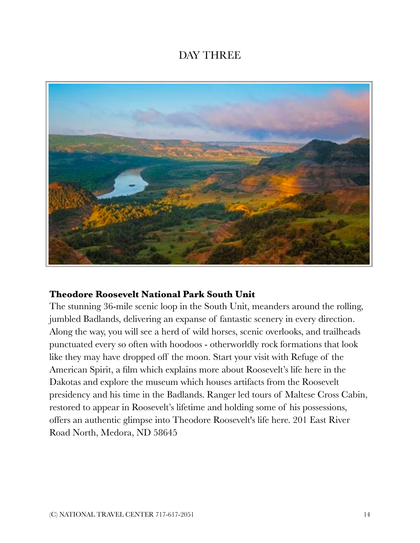# DAY THREE



## **Theodore Roosevelt National Park South Unit**

The stunning 36-mile scenic loop in the South Unit, meanders around the rolling, jumbled Badlands, delivering an expanse of fantastic scenery in every direction. Along the way, you will see a herd of wild horses, scenic overlooks, and trailheads punctuated every so often with hoodoos - otherworldly rock formations that look like they may have dropped off the moon. Start your visit with Refuge of the American Spirit, a film which explains more about Roosevelt's life here in the Dakotas and explore the museum which houses artifacts from the Roosevelt presidency and his time in the Badlands. Ranger led tours of Maltese Cross Cabin, restored to appear in Roosevelt's lifetime and holding some of his possessions, offers an authentic glimpse into Theodore Roosevelt's life here. 201 East River Road North, Medora, ND 58645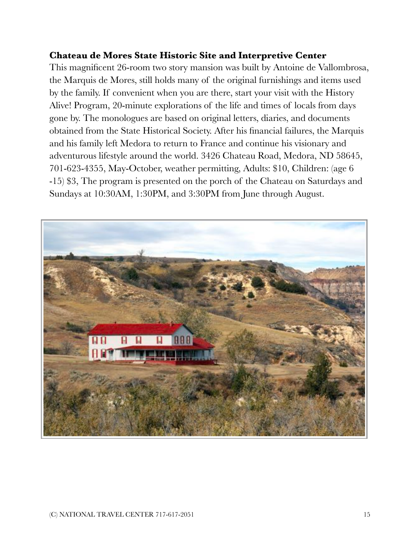## **Chateau de Mores State Historic Site and Interpretive Center**

This magnificent 26-room two story mansion was built by Antoine de Vallombrosa, the Marquis de Mores, still holds many of the original furnishings and items used by the family. If convenient when you are there, start your visit with the History Alive! Program, 20-minute explorations of the life and times of locals from days gone by. The monologues are based on original letters, diaries, and documents obtained from the State Historical Society. After his financial failures, the Marquis and his family left Medora to return to France and continue his visionary and adventurous lifestyle around the world. 3426 Chateau Road, Medora, ND 58645, 701-623-4355, May-October, weather permitting, Adults: \$10, Children: (age 6 -15) \$3, The program is presented on the porch of the Chateau on Saturdays and Sundays at 10:30AM, 1:30PM, and 3:30PM from June through August.

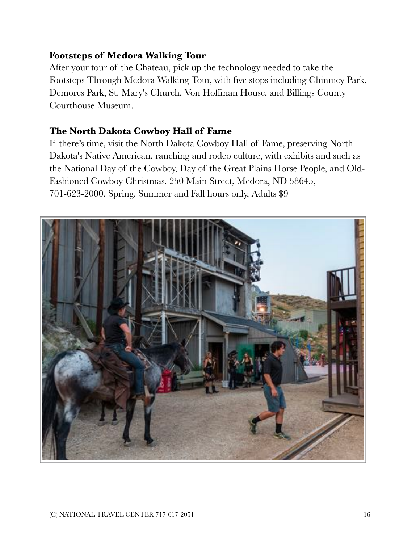## **Footsteps of Medora Walking Tour**

After your tour of the Chateau, pick up the technology needed to take the Footsteps Through Medora Walking Tour, with five stops including Chimney Park, Demores Park, St. Mary's Church, Von Hoffman House, and Billings County Courthouse Museum.

## **The North Dakota Cowboy Hall of Fame**

If there's time, visit the North Dakota Cowboy Hall of Fame, preserving North Dakota's Native American, ranching and rodeo culture, with exhibits and such as the National Day of the Cowboy, Day of the Great Plains Horse People, and Old-Fashioned Cowboy Christmas. 250 Main Street, Medora, ND 58645, 701-623-2000, Spring, Summer and Fall hours only, Adults \$9

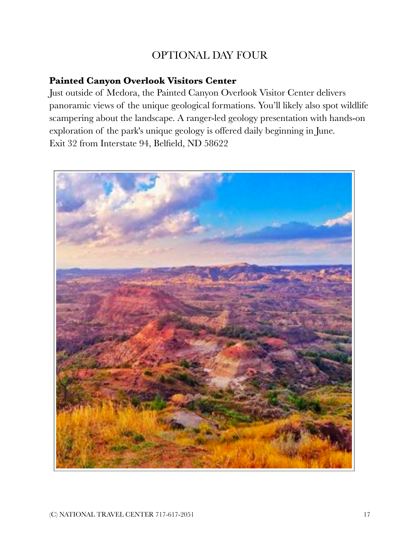# OPTIONAL DAY FOUR

## **Painted Canyon Overlook Visitors Center**

Just outside of Medora, the Painted Canyon Overlook Visitor Center delivers panoramic views of the unique geological formations. You'll likely also spot wildlife scampering about the landscape. A ranger-led geology presentation with hands-on exploration of the park's unique geology is offered daily beginning in June. Exit 32 from Interstate 94, Belfield, ND 58622

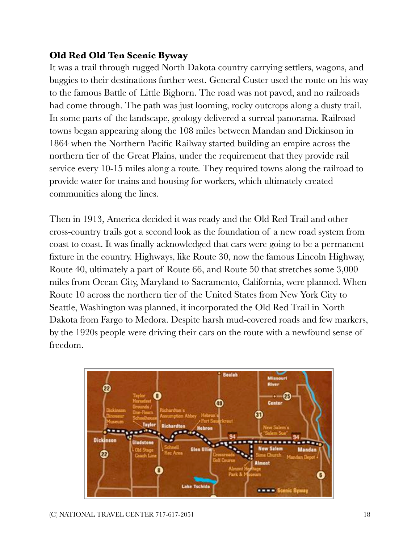## **Old Red Old Ten Scenic Byway**

It was a trail through rugged North Dakota country carrying settlers, wagons, and buggies to their destinations further west. General Custer used the route on his way to the famous Battle of Little Bighorn. The road was not paved, and no railroads had come through. The path was just looming, rocky outcrops along a dusty trail. In some parts of the landscape, geology delivered a surreal panorama. Railroad towns began appearing along the 108 miles between Mandan and Dickinson in 1864 when the Northern Pacific Railway started building an empire across the northern tier of the Great Plains, under the requirement that they provide rail service every 10-15 miles along a route. They required towns along the railroad to provide water for trains and housing for workers, which ultimately created communities along the lines.

Then in 1913, America decided it was ready and the Old Red Trail and other cross-country trails got a second look as the foundation of a new road system from coast to coast. It was finally acknowledged that cars were going to be a permanent fixture in the country. Highways, like Route 30, now the famous Lincoln Highway, Route 40, ultimately a part of Route 66, and Route 50 that stretches some 3,000 miles from Ocean City, Maryland to Sacramento, California, were planned. When Route 10 across the northern tier of the United States from New York City to Seattle, Washington was planned, it incorporated the Old Red Trail in North Dakota from Fargo to Medora. Despite harsh mud-covered roads and few markers, by the 1920s people were driving their cars on the route with a newfound sense of freedom.

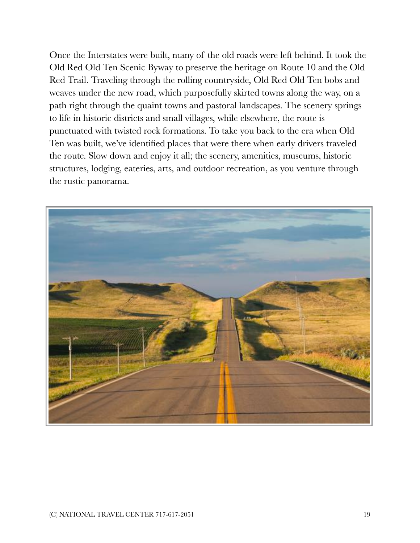Once the Interstates were built, many of the old roads were left behind. It took the Old Red Old Ten Scenic Byway to preserve the heritage on Route 10 and the Old Red Trail. Traveling through the rolling countryside, Old Red Old Ten bobs and weaves under the new road, which purposefully skirted towns along the way, on a path right through the quaint towns and pastoral landscapes. The scenery springs to life in historic districts and small villages, while elsewhere, the route is punctuated with twisted rock formations. To take you back to the era when Old Ten was built, we've identified places that were there when early drivers traveled the route. Slow down and enjoy it all; the scenery, amenities, museums, historic structures, lodging, eateries, arts, and outdoor recreation, as you venture through the rustic panorama.

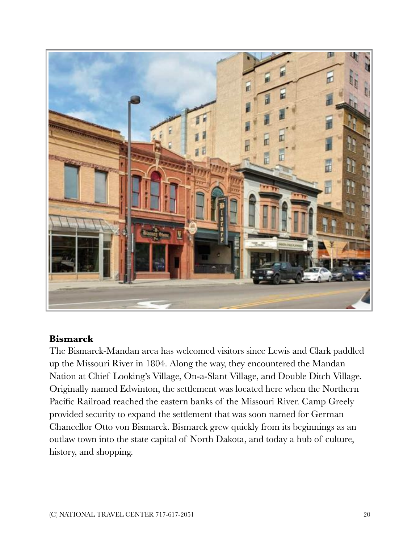

## **Bismarck**

The Bismarck-Mandan area has welcomed visitors since Lewis and Clark paddled up the Missouri River in 1804. Along the way, they encountered the Mandan Nation at Chief Looking's Village, On-a-Slant Village, and Double Ditch Village. Originally named Edwinton, the settlement was located here when the Northern Pacific Railroad reached the eastern banks of the Missouri River. Camp Greely provided security to expand the settlement that was soon named for German Chancellor Otto von Bismarck. Bismarck grew quickly from its beginnings as an outlaw town into the state capital of North Dakota, and today a hub of culture, history, and shopping.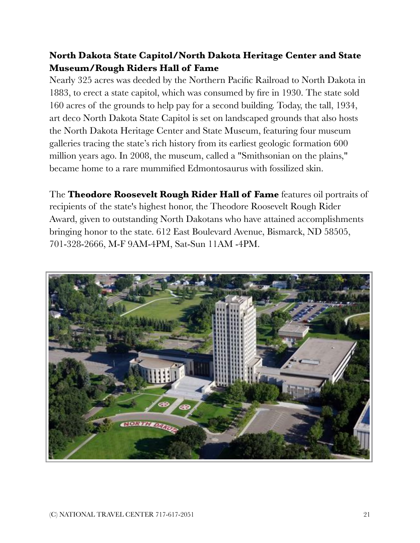## **North Dakota State Capitol/North Dakota Heritage Center and State Museum/Rough Riders Hall of Fame**

Nearly 325 acres was deeded by the Northern Pacific Railroad to North Dakota in 1883, to erect a state capitol, which was consumed by fire in 1930. The state sold 160 acres of the grounds to help pay for a second building. Today, the tall, 1934, art deco North Dakota State Capitol is set on landscaped grounds that also hosts the North Dakota Heritage Center and State Museum, featuring four museum galleries tracing the state's rich history from its earliest geologic formation 600 million years ago. In 2008, the museum, called a "Smithsonian on the plains," became home to a rare mummified Edmontosaurus with fossilized skin.

The **Theodore Roosevelt Rough Rider Hall of Fame** features oil portraits of recipients of the state's highest honor, the Theodore Roosevelt Rough Rider Award, given to outstanding North Dakotans who have attained accomplishments bringing honor to the state. 612 East Boulevard Avenue, Bismarck, ND 58505, 701-328-2666, M-F 9AM-4PM, Sat-Sun 11AM -4PM.

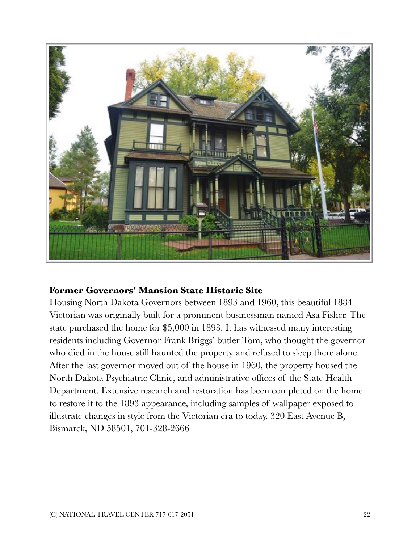

## **Former Governors' Mansion State Historic Site**

Housing North Dakota Governors between 1893 and 1960, this beautiful 1884 Victorian was originally built for a prominent businessman named Asa Fisher. The state purchased the home for \$5,000 in 1893. It has witnessed many interesting residents including Governor Frank Briggs' butler Tom, who thought the governor who died in the house still haunted the property and refused to sleep there alone. After the last governor moved out of the house in 1960, the property housed the North Dakota Psychiatric Clinic, and administrative offices of the State Health Department. Extensive research and restoration has been completed on the home to restore it to the 1893 appearance, including samples of wallpaper exposed to illustrate changes in style from the Victorian era to today. 320 East Avenue B, Bismarck, ND 58501, 701-328-2666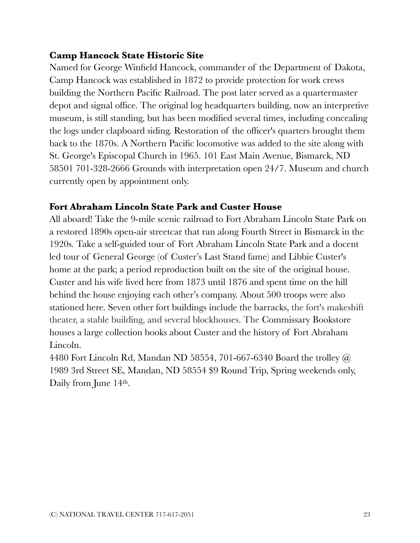## **Camp Hancock State Historic Site**

Named for George Winfield Hancock, commander of the Department of Dakota, Camp Hancock was established in 1872 to provide protection for work crews building the Northern Pacific Railroad. The post later served as a quartermaster depot and signal office. The original log headquarters building, now an interpretive museum, is still standing, but has been modified several times, including concealing the logs under clapboard siding. Restoration of the officer's quarters brought them back to the 1870s. A Northern Pacific locomotive was added to the site along with St. George's Episcopal Church in 1965. 101 East Main Avenue, Bismarck, ND 58501 701-328-2666 Grounds with interpretation open 24/7. Museum and church currently open by appointment only.

## **Fort Abraham Lincoln State Park and Custer House**

All aboard! Take the 9-mile scenic railroad to Fort Abraham Lincoln State Park on a restored 1890s open-air streetcar that ran along Fourth Street in Bismarck in the 1920s. Take a self-guided tour of Fort Abraham Lincoln State Park and a docent led tour of General George (of Custer's Last Stand fame) and Libbie Custer's home at the park; a period reproduction built on the site of the original house. Custer and his wife lived here from 1873 until 1876 and spent time on the hill behind the house enjoying each other's company. About 500 troops were also stationed here. Seven other fort buildings include the barracks, the fort's makeshift theater, a stable building, and several blockhouses. The Commissary Bookstore houses a large collection books about Custer and the history of Fort Abraham Lincoln.

4480 Fort Lincoln Rd, Mandan ND 58554, 701-667-6340 Board the trolley @ 1989 3rd Street SE, Mandan, ND 58554 \$9 Round Trip, Spring weekends only, Daily from June 14<sup>th</sup>.